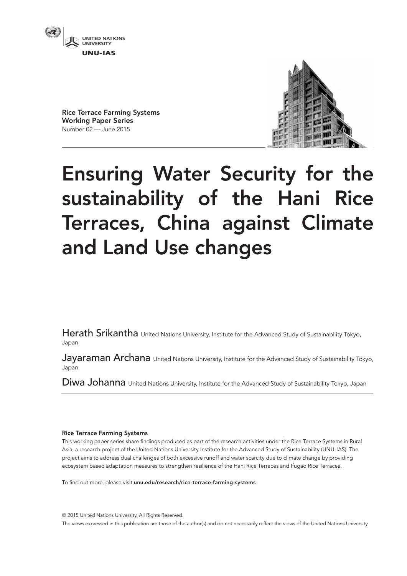

Rice Terrace Farming Systems Working Paper Series Number 02 — June 2015



# Ensuring Water Security for the sustainability of the Hani Rice Terraces, China against Climate and Land Use changes

Herath Srikantha United Nations University, Institute for the Advanced Study of Sustainability Tokyo, Japan

Jayaraman Archana United Nations University, Institute for the Advanced Study of Sustainability Tokyo, Japan

Diwa Johanna United Nations University, Institute for the Advanced Study of Sustainability Tokyo, Japan

## Rice Terrace Farming Systems

This working paper series share findings produced as part of the research activities under the Rice Terrace Systems in Rural Asia, a research project of the United Nations University Institute for the Advanced Study of Sustainability (UNU-IAS). The project aims to address dual challenges of both excessive runoff and water scarcity due to climate change by providing ecosystem based adaptation measures to strengthen resilience of the Hani Rice Terraces and Ifugao Rice Terraces.

To find out more, please visit unu.edu/research/rice-terrace-farming-systems

© 2015 United Nations University. All Rights Reserved. The views expressed in this publication are those of the author(s) and do not necessarily reflect the views of the United Nations University.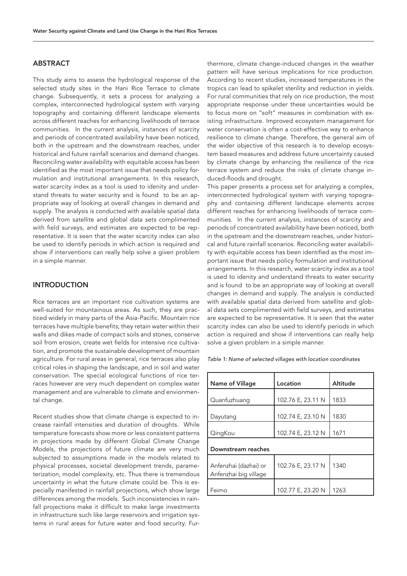## ABSTRACT

This study aims to assess the hydrological response of the selected study sites in the Hani Rice Terrace to climate change. Subsequently, it sets a process for analyzing a complex, interconnected hydrological system with varying topography and containing different landscape elements across different reaches for enhancing livelihoods of terrace communities. In the current analysis, instances of scarcity and periods of concentrated availability have been noticed, both in the upstream and the downstream reaches, under historical and future rainfall scenarios and demand changes. Reconciling water availability with equitable access has been identified as the most important issue that needs policy formulation and institutional arrangements. In this research, water scarcity index as a tool is used to idenity and understand threats to water security and is found to be an appropriate way of looking at overall changes in demand and supply. The analysis is conducted with available spatial data derived from satellite and global data sets complimented with field surveys, and estimates are expected to be representative. It is seen that the water scarcity index can also be used to identify periods in which action is required and show if interventions can really help solve a given problem in a simple manner.

## INTRODUCTION

Rice terraces are an important rice cultivation systems are well-suited for mountainous areas. As such, they are practiced widely in many parts of the Asia-Pacific. Mountain rice terraces have multiple benefits; they retain water within their walls and dikes made of compact soils and stones, conserve soil from erosion, create wet fields for intensive rice cultivation, and promote the sustainable development of mountain agriculture. For rural areas in general, rice terraces also play critical roles in shaping the landscape, and in soil and water conservation. The special ecological functions of rice terraces however are very much dependent on complex water management and are vulnerable to climate and envionmental change.

Recent studies show that climate change is expected to increase rainfall intensities and duration of droughts. While temperature forecasts show more or less consistent patterns in projections made by different Global Climate Change Models, the projections of future climate are very much subjected to assumptions made in the models related to physical processes, societal development trends, parameterization, model complexity, etc. Thus there is tremendous uncertainty in what the future climate could be. This is especially manifested in rainfall projections, which show large differences among the models. Such inconsistencies in rainfall projections make it difficult to make large investments in infrastructure such like large reservoirs and irrigation systems in rural areas for future water and food security. Fur-

thermore, climate change-induced changes in the weather pattern will have serious implications for rice production. According to recent studies, increased temperatures in the tropics can lead to spikelet sterility and reduction in yields. For rural communities that rely on rice production, the most appropriate response under these uncertainties would be to focus more on "soft" measures in combination with existing infrastructure. Improved ecosystem management for water conservation is often a cost-effective way to enhance resilience to climate change. Therefore, the general aim of the wider objective of this research is to develop ecosystem based measures and address future uncertainty caused by climate change by enhancing the resilience of the rice terrace system and reduce the risks of climate change induced-floods and drought.

This paper presents a process set for analyzing a complex, interconnected hydrological system with varying topography and containing different landscape elements across different reaches for enhancing livelihoods of terrace communities. In the current analysis, instances of scarcity and periods of concentrated availability have been noticed, both in the upstream and the downstream reaches, under historical and future rainfall scenarios. Reconciling water availability with equitable access has been identified as the most important issue that needs policy formulation and institutional arrangements. In this research, water scarcity index as a tool is used to idenity and understand threats to water security and is found to be an appropriate way of looking at overall changes in demand and supply. The analysis is conducted with available spatial data derived from satellite and global data sets complimented with field surveys, and estimates are expected to be representative. It is seen that the water scarcity index can also be used to identify periods in which action is required and show if interventions can really help solve a given problem in a simple manner.

*Table 1: Name of selected villages with location coordinates*

| Name of Village                                | Location          | <b>Altitude</b> |
|------------------------------------------------|-------------------|-----------------|
| Quanfuzhuang                                   | 102.76 E, 23.11 N | 1833            |
| Dayutang                                       | 102.74 E, 23.10 N | 1830            |
| QingKou                                        | 102.74 E, 23.12 N | 1671            |
| Downstream reaches                             |                   |                 |
| Anfenzhai (dazhai) or<br>Anfenzhai big village | 102.76 E, 23.17 N | 1340            |
| Feimo                                          | 102.77 E, 23.20 N | 1263            |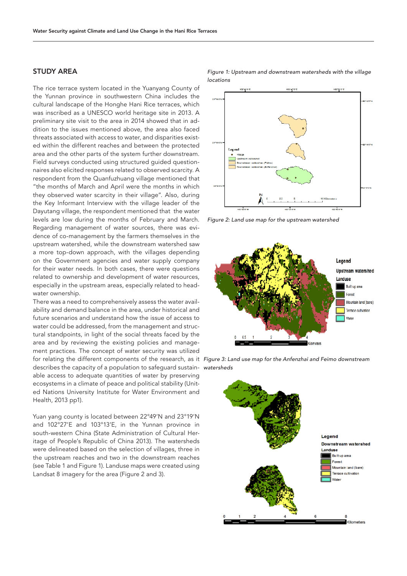# STUDY AREA

The rice terrace system located in the Yuanyang County of the Yunnan province in southwestern China includes the cultural landscape of the Honghe Hani Rice terraces, which was inscribed as a UNESCO world heritage site in 2013. A preliminary site visit to the area in 2014 showed that in addition to the issues mentioned above, the area also faced threats associated with access to water, and disparities existed within the different reaches and between the protected area and the other parts of the system further downstream. Field surveys conducted using structured guided questionnaires also elicited responses related to observed scarcity. A respondent from the Quanfuzhuang village mentioned that "the months of March and April were the months in which they observed water scarcity in their village". Also, during the Key Informant Interview with the village leader of the Dayutang village, the respondent mentioned that the water levels are low during the months of February and March. Regarding management of water sources, there was evidence of co-management by the farmers themselves in the upstream watershed, while the downstream watershed saw a more top-down approach, with the villages depending on the Government agencies and water supply company for their water needs. In both cases, there were questions related to ownership and development of water resources, especially in the upstream areas, especially related to headwater ownership.

There was a need to comprehensively assess the water availability and demand balance in the area, under historical and future scenarios and understand how the issue of access to water could be addressed, from the management and structural standpoints, in light of the social threats faced by the area and by reviewing the existing policies and management practices. The concept of water security was utilized describes the capacity of a population to safeguard sustain-*watersheds*able access to adequate quantities of water by preserving ecosystems in a climate of peace and political stability (United Nations University Institute for Water Environment and Health, 2013 pp1).

Yuan yang county is located between 22°49'N and 23°19'N and 102°27'E and 103°13'E, in the Yunnan province in south-western China (State Administration of Cultural Heritage of People's Republic of China 2013). The watersheds were delineated based on the selection of villages, three in the upstream reaches and two in the downstream reaches (see Table 1 and Figure 1). Landuse maps were created using Landsat 8 imagery for the area (Figure 2 and 3).

*Figure 1: Upstream and downstream watersheds with the village locations*



*Figure 2: Land use map for the upstream watershed*





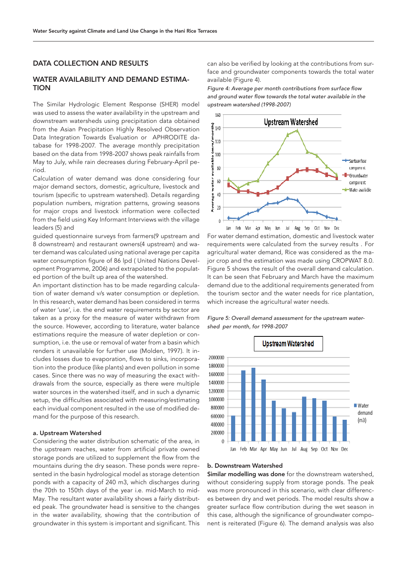## DATA COLLECTION AND RESULTS

# WATER AVAILABILITY AND DEMAND ESTIMA-TION

The Similar Hydrologic Element Response (SHER) model was used to assess the water availability in the upstream and downstream watersheds using precipitation data obtained from the Asian Precipitation Highly Resolved Observation Data Integration Towards Evaluation or APHRODITE database for 1998-2007. The average monthly precipitation based on the data from 1998-2007 shows peak rainfalls from May to July, while rain decreases during February-April period.

Calculation of water demand was done considering four major demand sectors, domestic, agriculture, livestock and tourism (specific to upstream watershed). Details regarding population numbers, migration patterns, growing seasons for major crops and livestock information were collected from the field using Key Informant Interviews with the village leaders (5) and

guided questionnaire surveys from farmers(9 upstream and 8 downstream) and restaurant owners(4 upstream) and water demand was calculated using national average per capita water consumption figure of 86 lpd ( United Nations Development Programme, 2006) and extrapolated to the populated portion of the built up area of the watershed.

An important distinction has to be made regarding calculation of water demand v/s water consumption or depletion. In this research, water demand has been considered in terms of water 'use', i.e. the end water requirements by sector are taken as a proxy for the measure of water withdrawn from the source. However, according to literature, water balance estimations require the measure of water depletion or consumption, i.e. the use or removal of water from a basin which renders it unavailable for further use (Molden, 1997). It includes losses due to evaporation, flows to sinks, incorporation into the produce (like plants) and even pollution in some cases. Since there was no way of measuring the exact withdrawals from the source, especially as there were multiple water sources in the watershed itself, and in such a dynamic setup, the difficulties associated with measuring/estimating each invidual component resulted in the use of modified demand for the purpose of this research.

#### a. Upstream Watershed

Considering the water distribution schematic of the area, in the upstream reaches, water from artificial private owned storage ponds are utilized to supplement the flow from the mountains during the dry season. These ponds were represented in the basin hydrological model as storage detention ponds with a capacity of 240 m3, which discharges during the 70th to 150th days of the year i.e. mid-March to mid-May. The resultant water availability shows a fairly distributed peak. The groundwater head is sensitive to the changes in the water availability, showing that the contribution of groundwater in this system is important and significant. This

can also be verified by looking at the contributions from surface and groundwater components towards the total water available (Figure 4).

Figure 4: Average per month contributions from surface flow and ground water flow towards the total water available in the *upstream watershed (1998-2007)*



For water demand estimation, domestic and livestock water requirements were calculated from the survey results . For agricultural water demand, Rice was considered as the major crop and the estimation was made using CROPWAT 8.0. Figure 5 shows the result of the overall demand calculation. It can be seen that February and March have the maximum demand due to the additional requirements generated from the tourism sector and the water needs for rice plantation, which increase the agricultural water needs.

*Figure 5: Overall demand assessment for the upstream watershed per month, for 1998-2007*



#### b. Downstream Watershed

Similar modelling was done for the downstream watershed, without considering supply from storage ponds. The peak was more pronounced in this scenario, with clear differences between dry and wet periods. The model results show a greater surface flow contribution during the wet season in this case, although the significance of groundwater component is reiterated (Figure 6). The demand analysis was also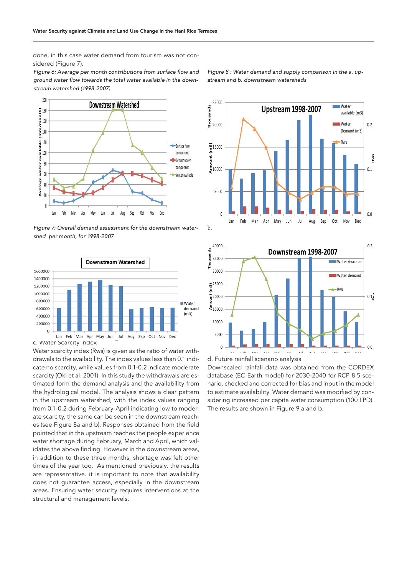done, in this case water demand from tourism was not considered (Figure 7).

Figure 6: Average per month contributions from surface flow and ground water flow towards the total water available in the down*stream watershed (1998-2007)*



*Figure 7: Overall demand assessment for the downstream watershed per month, for 1998-2007*



Water scarcity index (Rws) is given as the ratio of water withdrawals to the availability. The index values less than 0.1 indicate no scarcity, while values from 0.1-0.2 indicate moderate scarcity (Oki et al. 2001). In this study the withdrawals are estimated form the demand analysis and the availability from the hydrological model. The analysis shows a clear pattern in the upstream watershed, with the index values ranging from 0.1-0.2 during February-April indicating low to moderate scarcity, the same can be seen in the downstream reaches (see Figure 8a and b). Responses obtained from the field pointed that in the upstream reaches the people experience water shortage during February, March and April, which validates the above finding. However in the downstream areas, in addition to these three months, shortage was felt other times of the year too. As mentioned previously, the results are representative. it is important to note that availability does not guarantee access, especially in the downstream areas. Ensuring water security requires interventions at the structural and management levels.

atream and b. downstream watersheds *Figure 8 : Water demand and supply comparison in the a. up-*







Downscaled rainfall data was obtained from the CORDEX database (EC Earth model) for 2030-2040 for RCP 8.5 scenario, checked and corrected for bias and input in the model to estimate availability. Water demand was modified by considering increased per capita water consumption (100 LPD). The results are shown in Figure 9 a and b.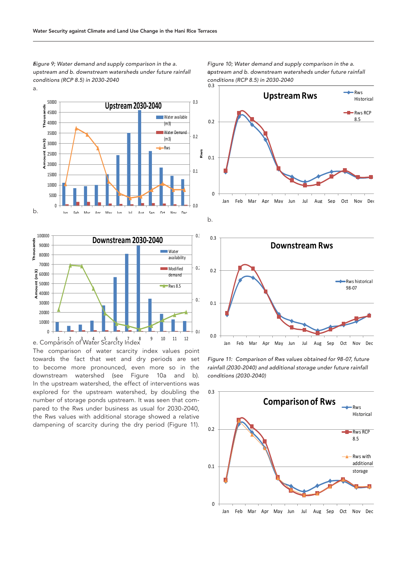$E$ igure 9; Water demand and supply comparison in the a. a. *upstream and b. downstream watersheds under future rainfall conditions (RCP 8.5) in 2030-2040*





The comparison of water scarcity index values point towards the fact that wet and dry periods are set to become more pronounced, even more so in the downstream watershed (see Figure 10a and b). In the upstream watershed, the effect of interventions was explored for the upstream watershed, by doubling the number of storage ponds upstream. It was seen that compared to the Rws under business as usual for 2030-2040, the Rws values with additional storage showed a relative dampening of scarcity during the dry period (Figure 11).

apstream and b. downstream watersheds under future rainfall 0.3 *Figure 10; Water demand and supply comparison in the a. conditions (RCP 8.5) in 2030-2040*







*Figure 11: Comparison of Rws values obtained for 98-07, future rainfall (2030-2040) and additional storage under future rainfall conditions (2030-2040)*